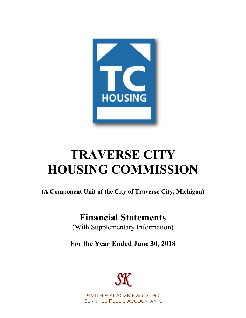

# **TRAVERSE CITY HOUSING COMMISSION**

**(A Component Unit of the City of Traverse City, Michigan)** 

## **Financial Statements**

(With Supplementary Information)

**For the Year Ended June 30, 2018**



SMITH & KLACZKIEWICZ, PC **CERTIFIED PUBLIC ACCOUNTANTS**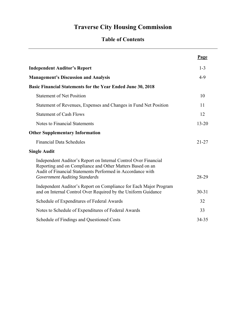### **Table of Contents**

|                                                                                                                                                                                                                                    | Page      |
|------------------------------------------------------------------------------------------------------------------------------------------------------------------------------------------------------------------------------------|-----------|
| <b>Independent Auditor's Report</b>                                                                                                                                                                                                | $1 - 3$   |
| <b>Management's Discussion and Analysis</b>                                                                                                                                                                                        | $4-9$     |
| <b>Basic Financial Statements for the Year Ended June 30, 2018</b>                                                                                                                                                                 |           |
| <b>Statement of Net Position</b>                                                                                                                                                                                                   | 10        |
| Statement of Revenues, Expenses and Changes in Fund Net Position                                                                                                                                                                   | 11        |
| <b>Statement of Cash Flows</b>                                                                                                                                                                                                     | 12        |
| Notes to Financial Statements                                                                                                                                                                                                      | $13 - 20$ |
| <b>Other Supplementary Information</b>                                                                                                                                                                                             |           |
| <b>Financial Data Schedules</b>                                                                                                                                                                                                    | $21 - 27$ |
| <b>Single Audit</b>                                                                                                                                                                                                                |           |
| Independent Auditor's Report on Internal Control Over Financial<br>Reporting and on Compliance and Other Matters Based on an<br>Audit of Financial Statements Performed in Accordance with<br><b>Government Auditing Standards</b> | 28-29     |
| Independent Auditor's Report on Compliance for Each Major Program<br>and on Internal Control Over Required by the Uniform Guidance                                                                                                 | $30 - 31$ |
| Schedule of Expenditures of Federal Awards                                                                                                                                                                                         | 32        |
| Notes to Schedule of Expenditures of Federal Awards                                                                                                                                                                                | 33        |
| Schedule of Findings and Questioned Costs                                                                                                                                                                                          | 34-35     |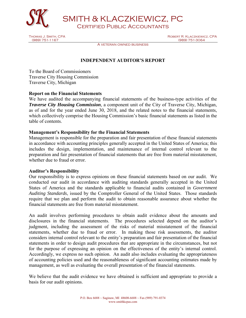

SMITH & KLACZKIEWICZ, PC Certified Public Accountants

Thomas J. Smith, CPA Robert R. Klaczkiewicz, CPA (989) 751-3064

A veteran owned business

### **INDEPENDENT AUDITOR'S REPORT**

To the Board of Commissioners Traverse City Housing Commission Traverse City, Michigan

#### **Report on the Financial Statements**

We have audited the accompanying financial statements of the business-type activities of the *Traverse City Housing Commission*, a component unit of the City of Traverse City, Michigan, as of and for the year ended June 30, 2018, and the related notes to the financial statements, which collectively comprise the Housing Commission's basic financial statements as listed in the table of contents.

#### **Management's Responsibility for the Financial Statements**

Management is responsible for the preparation and fair presentation of these financial statements in accordance with accounting principles generally accepted in the United States of America; this includes the design, implementation, and maintenance of internal control relevant to the preparation and fair presentation of financial statements that are free from material misstatement, whether due to fraud or error.

#### **Auditor's Responsibility**

Our responsibility is to express opinions on these financial statements based on our audit. We conducted our audit in accordance with auditing standards generally accepted in the United States of America and the standards applicable to financial audits contained in *Government Auditing Standards*, issued by the Comptroller General of the United States. Those standards require that we plan and perform the audit to obtain reasonable assurance about whether the financial statements are free from material misstatement.

An audit involves performing procedures to obtain audit evidence about the amounts and disclosures in the financial statements. The procedures selected depend on the auditor's judgment, including the assessment of the risks of material misstatement of the financial statements, whether due to fraud or error. In making those risk assessments, the auditor considers internal control relevant to the entity's preparation and fair presentation of the financial statements in order to design audit procedures that are appropriate in the circumstances, but not for the purpose of expressing an opinion on the effectiveness of the entity's internal control. Accordingly, we express no such opinion. An audit also includes evaluating the appropriateness of accounting policies used and the reasonableness of significant accounting estimates made by management, as well as evaluating the overall presentation of the financial statements.

We believe that the audit evidence we have obtained is sufficient and appropriate to provide a basis for our audit opinions.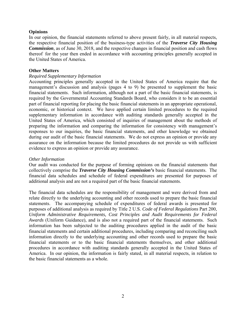### **Opinions**

In our opinion, the financial statements referred to above present fairly, in all material respects, the respective financial position of the business-type activities of the *Traverse City Housing Commission*, as of June 30, 2018, and the respective changes in financial position and cash flows thereof for the year then ended in accordance with accounting principles generally accepted in the United States of America.

### **Other Matters**

#### *Required Supplementary Information*

Accounting principles generally accepted in the United States of America require that the management's discussion and analysis (pages 4 to 9) be presented to supplement the basic financial statements. Such information, although not a part of the basic financial statements, is required by the Governmental Accounting Standards Board, who considers it to be an essential part of financial reporting for placing the basic financial statements in an appropriate operational, economic, or historical context. We have applied certain limited procedures to the required supplementary information in accordance with auditing standards generally accepted in the United States of America, which consisted of inquiries of management about the methods of preparing the information and comparing the information for consistency with management's responses to our inquiries, the basic financial statements, and other knowledge we obtained during our audit of the basic financial statements. We do not express an opinion or provide any assurance on the information because the limited procedures do not provide us with sufficient evidence to express an opinion or provide any assurance.

#### *Other Information*

Our audit was conducted for the purpose of forming opinions on the financial statements that collectively comprise the *Traverse City Housing Commission's* basic financial statements. The financial data schedules and schedule of federal expenditures are presented for purposes of additional analysis and are not a required part of the basic financial statements.

The financial data schedules are the responsibility of management and were derived from and relate directly to the underlying accounting and other records used to prepare the basic financial statements. The accompanying schedule of expenditures of federal awards is presented for purposes of additional analysis as required by Title 2 U.S. *Code of Federal Regulations* Part 200, *Uniform Administrative Requirements, Cost Principles and Audit Requirements for Federal Awards* (Uniform Guidance), and is also not a required part of the financial statements. Such information has been subjected to the auditing procedures applied in the audit of the basic financial statements and certain additional procedures, including comparing and reconciling such information directly to the underlying accounting and other records used to prepare the basic financial statements or to the basic financial statements themselves, and other additional procedures in accordance with auditing standards generally accepted in the United States of America. In our opinion, the information is fairly stated, in all material respects, in relation to the basic financial statements as a whole.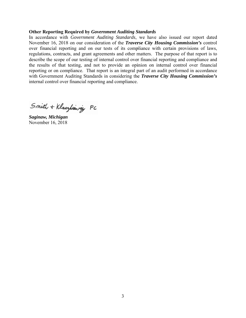#### **Other Reporting Required by** *Government Auditing Standards*

In accordance with Government Auditing Standards, we have also issued our report dated November 16, 2018 on our consideration of the *Traverse City Housing Commission's* control over financial reporting and on our tests of its compliance with certain provisions of laws, regulations, contracts, and grant agreements and other matters. The purpose of that report is to describe the scope of our testing of internal control over financial reporting and compliance and the results of that testing, and not to provide an opinion on internal control over financial reporting or on compliance. That report is an integral part of an audit performed in accordance with Government Auditing Standards in considering the *Traverse City Housing Commission's* internal control over financial reporting and compliance.

Smith + Klacyhiannig PC

*Saginaw, Michigan* November 16, 2018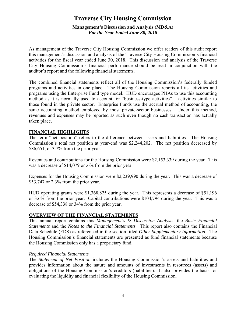### **Traverse City Housing Commission Management's Discussion and Analysis (MD&A)**  *For the Year Ended June 30, 2018*

As management of the Traverse City Housing Commission we offer readers of this audit report this management's discussion and analysis of the Traverse City Housing Commission's financial activities for the fiscal year ended June 30, 2018. This discussion and analysis of the Traverse City Housing Commission's financial performance should be read in conjunction with the auditor's report and the following financial statements.

The combined financial statements reflect all of the Housing Commission's federally funded programs and activities in one place. The Housing Commission reports all its activities and programs using the Enterprise Fund type model. HUD encourages PHAs to use this accounting method as it is normally used to account for "business-type activities" – activities similar to those found in the private sector. Enterprise Funds use the accrual method of accounting, the same accounting method employed by most private-sector businesses. Under this method, revenues and expenses may be reported as such even though no cash transaction has actually taken place.

### **FINANCIAL HIGHLIGHTS**

The term "net position" refers to the difference between assets and liabilities. The Housing Commission's total net position at year-end was \$2,244,202. The net position decreased by \$86,651, or 3.7% from the prior year.

Revenues and contributions for the Housing Commission were \$2,153,339 during the year. This was a decrease of \$14,079 or .6% from the prior year.

Expenses for the Housing Commission were \$2,239,990 during the year. This was a decrease of \$53,747 or 2.3% from the prior year.

HUD operating grants were \$1,368,825 during the year. This represents a decrease of \$51,196 or 3.6% from the prior year. Capital contributions were \$104,794 during the year. This was a decrease of \$54,338 or 34% from the prior year.

### **OVERVIEW OF THE FINANCIAL STATEMENTS**

This annual report contains this *Management's & Discussion Analysis*, the *Basic Financial Statements* and the *Notes to the Financial Statements*. This report also contains the Financial Data Schedule (FDS) as referenced in the section titled *Other Supplementary Information*. The Housing Commission's financial statements are presented as fund financial statements because the Housing Commission only has a proprietary fund.

### *Required Financial Statements*

The *Statement of Net Position* includes the Housing Commission's assets and liabilities and provides information about the nature and amounts of investments in resources (assets) and obligations of the Housing Commission's creditors (liabilities). It also provides the basis for evaluating the liquidity and financial flexibility of the Housing Commission.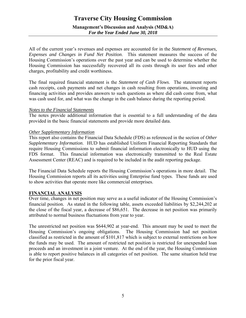### **Traverse City Housing Commission Management's Discussion and Analysis (MD&A)**  *For the Year Ended June 30, 2018*

All of the current year's revenues and expenses are accounted for in the *Statement of Revenues, Expenses and Changes in Fund Net Position*. This statement measures the success of the Housing Commission's operations over the past year and can be used to determine whether the Housing Commission has successfully recovered all its costs through its user fees and other charges, profitability and credit worthiness.

The final required financial statement is the *Statement of Cash Flows*. The statement reports cash receipts, cash payments and net changes in cash resulting from operations, investing and financing activities and provides answers to such questions as where did cash come from, what was cash used for, and what was the change in the cash balance during the reporting period.

#### *Notes to the Financial Statements*

The notes provide additional information that is essential to a full understanding of the data provided in the basic financial statements and provide more detailed data.

#### *Other Supplementary Information*

This report also contains the Financial Data Schedule (FDS) as referenced in the section of *Other Supplementary Information*. HUD has established Uniform Financial Reporting Standards that require Housing Commissions to submit financial information electronically to HUD using the FDS format. This financial information was electronically transmitted to the Real Estate Assessment Center (REAC) and is required to be included in the audit reporting package.

The Financial Data Schedule reports the Housing Commission's operations in more detail. The Housing Commission reports all its activities using Enterprise fund types. These funds are used to show activities that operate more like commercial enterprises.

### **FINANCIAL ANALYSIS**

Over time, changes in net position may serve as a useful indicator of the Housing Commission's financial position. As stated in the following table, assets exceeded liabilities by \$2,244,202 at the close of the fiscal year, a decrease of \$86,651. The decrease in net position was primarily attributed to normal business fluctuations from year to year.

The unrestricted net position was \$644,902 at year-end. This amount may be used to meet the Housing Commission's ongoing obligations. The Housing Commission had net position classified as restricted in the amount of \$101,817 which is subject to external restrictions on how the funds may be used. The amount of restricted net position is restricted for unexpended loan proceeds and an investment in a joint venture. At the end of the year, the Housing Commission is able to report positive balances in all categories of net position. The same situation held true for the prior fiscal year.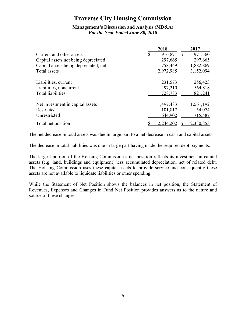### **Management's Discussion and Analysis (MD&A)**  *For the Year Ended June 30, 2018*

|                                       | 2018         | 2017          |
|---------------------------------------|--------------|---------------|
| Current and other assets              | 916,871<br>S | 971,560<br>-S |
| Capital assets not being depreciated  | 297,665      | 297,665       |
| Capital assets being depreciated, net | 1,758,449    | 1,882,869     |
| Total assets                          | 2,972,985    | 3,152,094     |
|                                       |              |               |
| Liabilities, current                  | 231,573      | 256,423       |
| Liabilities, noncurrent               | 497,210      | 564,818       |
| <b>Total liabilities</b>              | 728,783      | 821,241       |
|                                       |              |               |
| Net investment in capital assets      | 1,497,483    | 1,561,192     |
| Restricted                            | 101,817      | 54,074        |
| Unrestricted                          | 644,902      | 715,587       |
| Total net position                    | 2,244,202    | 2,330,853     |

The net decrease in total assets was due in large part to a net decrease in cash and capital assets.

The decrease in total liabilities was due in large part having made the required debt payments.

The largest portion of the Housing Commission's net position reflects its investment in capital assets (e.g. land, buildings and equipment) less accumulated depreciation, net of related debt. The Housing Commission uses these capital assets to provide service and consequently these assets are not available to liquidate liabilities or other spending.

While the Statement of Net Position shows the balances in net position, the Statement of Revenues, Expenses and Changes in Fund Net Position provides answers as to the nature and source of these changes.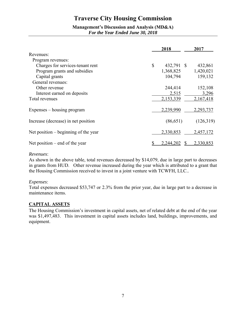### **Management's Discussion and Analysis (MD&A)**  *For the Year Ended June 30, 2018*

|                                        | 2018             | 2017      |
|----------------------------------------|------------------|-----------|
| Revenues:                              |                  |           |
| Program revenues:                      |                  |           |
| Charges for services-tenant rent       | \$<br>432,791 \$ | 432,861   |
| Program grants and subsidies           | 1,368,825        | 1,420,021 |
| Capital grants                         | 104,794          | 159,132   |
| General revenues:                      |                  |           |
| Other revenue                          | 244,414          | 152,108   |
| Interest earned on deposits            | 2,515            | 3,296     |
| Total revenues                         | 2,153,339        | 2,167,418 |
| Expenses – housing program             | 2,239,990        | 2,293,737 |
| Increase (decrease) in net position    | (86,651)         | (126,319) |
| Net position $-$ beginning of the year | 2,330,853        | 2,457,172 |
| Net position $-$ end of the year       | 2,244,202        | 2,330,853 |

#### *Revenues*:

As shown in the above table, total revenues decreased by \$14,079, due in large part to decreases in grants from HUD. Other revenue increased during the year which is attributed to a grant that the Housing Commission received to invest in a joint venture with TCWFH, LLC..

### *Expenses*:

Total expenses decreased \$53,747 or 2.3% from the prior year, due in large part to a decrease in maintenance items.

### **CAPITAL ASSETS**

The Housing Commission's investment in capital assets, net of related debt at the end of the year was \$1,497,483. This investment in capital assets includes land, buildings, improvements, and equipment.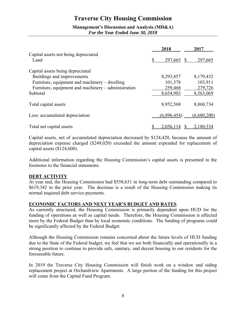### **Management's Discussion and Analysis (MD&A)**  *For the Year Ended June 30, 2018*

|                                                     |  | 2018        | 2017        |
|-----------------------------------------------------|--|-------------|-------------|
| Capital assets not being depreciated<br>Land        |  | 297,665     | 297,665     |
| Capital assets being depreciated                    |  |             |             |
| Buildings and improvements                          |  | 8,293,857   | 8,179,432   |
| Furniture, equipment and machinery – dwelling       |  | 101,578     | 103,911     |
| Furniture, equipment and machinery – administration |  | 259,468     | 279,726     |
| Subtotal                                            |  | 8,654,903   | 8,563,069   |
| Total capital assets                                |  | 8,952,568   | 8,860,734   |
| Less: accumulated depreciation                      |  | (6,896,454) | (6,680,200) |
| Total net capital assets                            |  | 2,056,114   | 2,180,534   |

Capital assets, net of accumulated depreciation decreased by \$124,420, because the amount of depreciation expense charged (\$249,020) exceeded the amount expended for replacement of capital assets (\$124,600).

Additional information regarding the Housing Commission's capital assets is presented in the footnotes to the financial statements.

### **DEBT ACTIVITY**

At year end, the Housing Commission had \$558,631 in long-term debt outstanding compared to \$619,342 in the prior year. The decrease is a result of the Housing Commission making its normal required debt service payments.

### **ECONOMIC FACTORS AND NEXT YEAR'S BUDGET AND RATES**

As currently structured, the Housing Commission is primarily dependent upon HUD for the funding of operations as well as capital needs. Therefore, the Housing Commission is affected more by the Federal Budget than by local economic conditions. The funding of programs could be significantly affected by the Federal Budget.

Although the Housing Commission remains concerned about the future levels of HUD funding due to the State of the Federal budget, we feel that we are both financially and operationally in a strong position to continue to provide safe, sanitary, and decent housing to our residents for the foreseeable future.

In 2019 the Traverse City Housing Commission will finish work on a window and siding replacement project at Orchardview Apartments. A large portion of the funding for this project will come from the Capital Fund Program.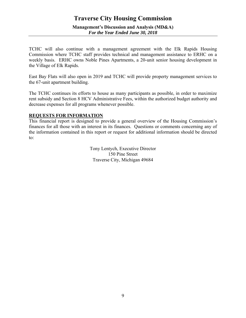### **Traverse City Housing Commission Management's Discussion and Analysis (MD&A)**

*For the Year Ended June 30, 2018* 

TCHC will also continue with a management agreement with the Elk Rapids Housing Commission where TCHC staff provides technical and management assistance to ERHC on a weekly basis. ERHC owns Noble Pines Apartments, a 20-unit senior housing development in the Village of Elk Rapids.

East Bay Flats will also open in 2019 and TCHC will provide property management services to the 67-unit apartment building.

The TCHC continues its efforts to house as many participants as possible, in order to maximize rent subsidy and Section 8 HCV Administrative Fees, within the authorized budget authority and decrease expenses for all programs whenever possible.

### **REQUESTS FOR INFORMATION**

This financial report is designed to provide a general overview of the Housing Commission's finances for all those with an interest in its finances. Questions or comments concerning any of the information contained in this report or request for additional information should be directed to:

> Tony Lentych, Executive Director 150 Pine Street Traverse City, Michigan 49684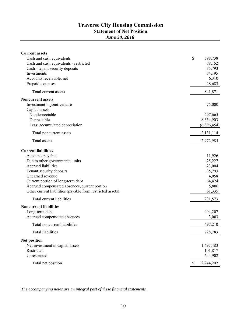### **Traverse City Housing Commission Statement of Net Position** *June 30, 2018*

| <b>Current assets</b>                                      |                 |
|------------------------------------------------------------|-----------------|
| Cash and cash equivalents                                  | \$<br>598,738   |
| Cash and cash equivalents - restricted                     | 88,152          |
| Cash - tenant security deposits                            | 35,793          |
| Investments                                                | 84,195          |
| Accounts receivable, net                                   | 6,310           |
| Prepaid expenses                                           | 28,683          |
| Total current assets                                       | 841,871         |
| <b>Noncurrent assets</b>                                   |                 |
| Investment in joint venture                                | 75,000          |
| Capital assets                                             |                 |
| Nondepreciable                                             | 297,665         |
| Depreciable                                                | 8,654,903       |
| Less: accumulated depreciation                             | (6,896,454)     |
| Total noncurrent assets                                    | 2,131,114       |
| Total assets                                               | 2,972,985       |
| <b>Current liabilities</b>                                 |                 |
| Accounts payable                                           | 11,926          |
| Due to other governmental units                            | 25,227          |
| Accrued liabilities                                        | 23,004          |
| Tenant security deposits                                   | 35,793          |
| Unearned revenue                                           | 4,058           |
| Current portion of long-term debt                          | 64,424          |
| Accrued compensated absences, current portion              | 5,806           |
| Other current liabilities (payable from restricted assets) | 61,335          |
| Total current liabilities                                  | 231,573         |
| <b>Noncurrent liabilities</b>                              |                 |
| Long-term debt                                             | 494,207         |
| Accrued compensated absences                               | 3,003           |
| Total noncurrent liabilities                               | 497,210         |
| <b>Total liabilities</b>                                   | 728,783         |
| <b>Net position</b>                                        |                 |
| Net investment in capital assets                           | 1,497,483       |
| Restricted                                                 | 101,817         |
| Unrestricted                                               | 644,902         |
| Total net position                                         | \$<br>2,244,202 |

*The accompanying notes are an integral part of these financial statements.*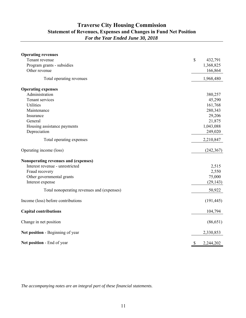### **Traverse City Housing Commission Statement of Revenues, Expenses and Changes in Fund Net Position** *For the Year Ended June 30, 2018*

| <b>Operating revenues</b>                  |                 |
|--------------------------------------------|-----------------|
| Tenant revenue                             | \$<br>432,791   |
| Program grants - subsidies                 | 1,368,825       |
| Other revenue                              | 166,864         |
| Total operating revenues                   | 1,968,480       |
| <b>Operating expenses</b>                  |                 |
| Administration                             | 380,257         |
| Tenant services                            | 45,290          |
| Utilities                                  | 161,768         |
| Maintenance                                | 280,343         |
| Insurance                                  | 29,206          |
| General                                    | 21,875          |
| Housing assistance payments                | 1,043,088       |
| Depreciation                               | 249,020         |
| Total operating expenses                   | 2,210,847       |
| Operating income (loss)                    | (242, 367)      |
| Nonoperating revenues and (expenses)       |                 |
| Interest revenue - unrestricted            | 2,515           |
| Fraud recovery                             | 2,550           |
| Other governmental grants                  | 75,000          |
| Interest expense                           | (29, 143)       |
| Total nonoperating revenues and (expenses) | 50,922          |
| Income (loss) before contributions         | (191, 445)      |
| <b>Capital contributions</b>               | 104,794         |
| Change in net position                     | (86, 651)       |
| Net position - Beginning of year           | 2,330,853       |
| Net position - End of year                 | \$<br>2,244,202 |

*The accompanying notes are an integral part of these financial statements.*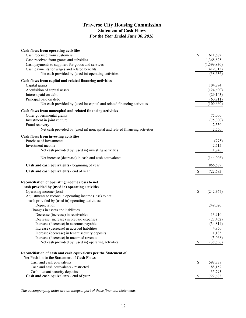### **Traverse City Housing Commission Statement of Cash Flows** *For the Year Ended June 30, 2018*

| Cash flows from operating activities                                                                                   |              |                   |
|------------------------------------------------------------------------------------------------------------------------|--------------|-------------------|
| Cash received from customers                                                                                           | \$           | 611,682           |
| Cash received from grants and subsidies                                                                                |              | 1,368,825         |
| Cash payments to suppliers for goods and services                                                                      |              | (1,599,830)       |
| Cash payments for wages and related benefits                                                                           |              | (419,313)         |
| Net cash provided by (used in) operating activities                                                                    |              | (38, 636)         |
| Cash flows from capital and related financing activities                                                               |              |                   |
| Capital grants                                                                                                         |              | 104,794           |
| Acquisition of capital assets                                                                                          |              | (124, 600)        |
| Interest paid on debt                                                                                                  |              | (29, 143)         |
| Principal paid on debt                                                                                                 |              | (60, 711)         |
| Net cash provided by (used in) capital and related financing activities                                                |              | (109, 660)        |
| Cash flows from noncapital and related financing activities                                                            |              |                   |
| Other governmental grants                                                                                              |              | 75,000            |
| Investment in joint venture                                                                                            |              | (75,000)          |
| Fraud recovery                                                                                                         |              | 2,550             |
| Net cash provided by (used in) noncapital and related financing activities                                             |              | 2,550             |
| Cash flows from investing activities                                                                                   |              |                   |
| Purchase of investments                                                                                                |              | (775)             |
| Investment income                                                                                                      |              | 2,515             |
| Net cash provided by (used in) investing activities                                                                    |              | 1,740             |
| Net increase (decrease) in cash and cash equivalents                                                                   |              | (144,006)         |
| Cash and cash equivalents - beginning of year                                                                          |              | 866,689           |
| Cash and cash equivalents - end of year                                                                                | \$           | 722,683           |
| Reconciliation of operating income (loss) to net                                                                       |              |                   |
| cash provided by (used in) operating activities                                                                        |              |                   |
| Operating income (loss)                                                                                                | \$           | (242, 367)        |
| Adjustments to reconcile operating income (loss) to net                                                                |              |                   |
| cash provided by (used in) operating activities:                                                                       |              |                   |
| Depreciation                                                                                                           |              | 249,020           |
| Changes in assets and liabilities                                                                                      |              |                   |
| Decrease (increase) in receivables                                                                                     |              | 13,910            |
| Decrease (increase) in prepaid expenses                                                                                |              | (27, 452)         |
| Increase (decrease) in accounts payable                                                                                |              | (34, 814)         |
| Increase (decrease) in accrued liabilities                                                                             |              | 4,950             |
| Increase (decrease) in tenant security deposits                                                                        |              | 1,185             |
| Increase (decrease) in unearned revenue                                                                                |              | (3,068)           |
| Net cash provided by (used in) operating activities                                                                    | $\mathbb{S}$ | (38, 636)         |
|                                                                                                                        |              |                   |
| Reconciliation of cash and cash equivalents per the Statement of<br><b>Net Position to the Statement of Cash Flows</b> |              |                   |
| Cash and cash equivalents                                                                                              | \$           |                   |
| Cash and cash equivalents - restricted                                                                                 |              | 598,738<br>88,152 |
| Cash - tenant security deposits                                                                                        |              | 35,793            |
| Cash and cash equivalents - end of year                                                                                | \$           | 722,683           |
|                                                                                                                        |              |                   |

*The accompanying notes are an integral part of these financial statements.*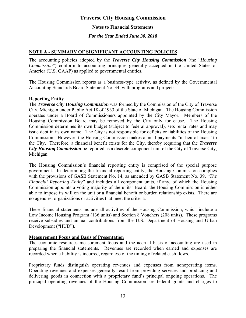### **Notes to Financial Statements**

*For the Year Ended June 30, 2018* 

### **NOTE A - SUMMARY OF SIGNIFICANT ACCOUNTING POLICIES**

The accounting policies adopted by the *Traverse City Housing Commission* (the "*Housing Commission*") conform to accounting principles generally accepted in the United States of America (U.S. GAAP) as applied to governmental entities.

The Housing Commission reports as a business-type activity, as defined by the Governmental Accounting Standards Board Statement No. 34, with programs and projects.

### **Reporting Entity**

The *Traverse City Housing Commission* was formed by the Commission of the City of Traverse City, Michigan under Public Act 18 of 1933 of the State of Michigan. The Housing Commission operates under a Board of Commissioners appointed by the City Mayor. Members of the Housing Commission Board may be removed by the City only for cause. The Housing Commission determines its own budget (subject to federal approval), sets rental rates and may issue debt in its own name. The City is not responsible for deficits or liabilities of the Housing Commission. However, the Housing Commission makes annual payments "in lieu of taxes" to the City. Therefore, a financial benefit exists for the City, thereby requiring that the *Traverse City Housing Commission* be reported as a discrete component unit of the City of Traverse City, Michigan.

The Housing Commission's financial reporting entity is comprised of the special purpose government. In determining the financial reporting entity, the Housing Commission complies with the provisions of GASB Statement No. 14, as amended by GASB Statement No. 39, "*The Financial Reporting Entity*" and includes all component units, if any, of which the Housing Commission appoints a voting majority of the units' Board; the Housing Commission is either able to impose its will on the unit or a financial benefit or burden relationship exists. There are no agencies, organizations or activities that meet the criteria.

These financial statements include all activities of the Housing Commission, which include a Low Income Housing Program (136 units) and Section 8 Vouchers (208 units). These programs receive subsidies and annual contributions from the U.S. Department of Housing and Urban Development ("HUD").

### **Measurement Focus and Basis of Presentation**

The economic resources measurement focus and the accrual basis of accounting are used in preparing the financial statements. Revenues are recorded when earned and expenses are recorded when a liability is incurred, regardless of the timing of related cash flows.

Proprietary funds distinguish operating revenues and expenses from nonoperating items. Operating revenues and expenses generally result from providing services and producing and delivering goods in connection with a proprietary fund's principal ongoing operations. The principal operating revenues of the Housing Commission are federal grants and charges to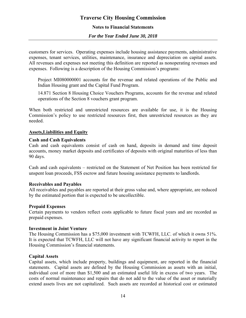**Notes to Financial Statements** 

*For the Year Ended June 30, 2018* 

customers for services. Operating expenses include housing assistance payments, administrative expenses, tenant services, utilities, maintenance, insurance and depreciation on capital assets. All revenues and expenses not meeting this definition are reported as nonoperating revenues and expenses. Following is a description of the Housing Commission's programs:

Project MI080000001 accounts for the revenue and related operations of the Public and Indian Housing grant and the Capital Fund Program.

14.871 Section 8 Housing Choice Vouchers Programs, accounts for the revenue and related operations of the Section 8 vouchers grant program.

When both restricted and unrestricted resources are available for use, it is the Housing Commission's policy to use restricted resources first, then unrestricted resources as they are needed.

### **Assets,Liabilities and Equity**

### **Cash and Cash Equivalents**

Cash and cash equivalents consist of cash on hand, deposits in demand and time deposit accounts, money market deposits and certificates of deposits with original maturities of less than 90 days.

Cash and cash equivalents – restricted on the Statement of Net Position has been restricted for unspent loan proceeds, FSS escrow and future housing assistance payments to landlords.

### **Receivables and Payables**

All receivables and payables are reported at their gross value and, where appropriate, are reduced by the estimated portion that is expected to be uncollectible.

### **Prepaid Expenses**

Certain payments to vendors reflect costs applicable to future fiscal years and are recorded as prepaid expenses.

### **Investment in Joint Venture**

The Housing Commission has a \$75,000 investment with TCWFH, LLC. of which it owns 51%. It is expected that TCWFH, LLC will not have any significant financial activity to report in the Housing Commission's financial statements.

### **Capital Assets**

Capital assets, which include property, buildings and equipment, are reported in the financial statements. Capital assets are defined by the Housing Commission as assets with an initial, individual cost of more than \$1,500 and an estimated useful life in excess of two years. The costs of normal maintenance and repairs that do not add to the value of the asset or materially extend assets lives are not capitalized. Such assets are recorded at historical cost or estimated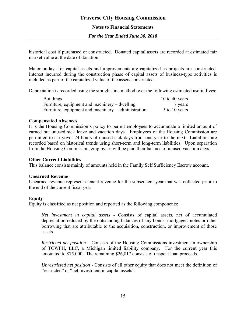**Notes to Financial Statements** 

*For the Year Ended June 30, 2018* 

historical cost if purchased or constructed. Donated capital assets are recorded at estimated fair market value at the date of donation.

Major outlays for capital assets and improvements are capitalized as projects are constructed. Interest incurred during the construction phase of capital assets of business-type activities is included as part of the capitalized value of the assets constructed.

Depreciation is recorded using the straight-line method over the following estimated useful lives:

| <b>Buildings</b>                                    | 10 to 40 years |
|-----------------------------------------------------|----------------|
| Furniture, equipment and machinery $-$ dwelling     | 7 years        |
| Furniture, equipment and machinery – administration | 5 to 10 years  |

### **Compensated Absences**

It is the Housing Commission's policy to permit employees to accumulate a limited amount of earned but unused sick leave and vacation days. Employees of the Housing Commission are permitted to carryover 24 hours of unused sick days from one year to the next. Liabilities are recorded based on historical trends using short-term and long-term liabilities. Upon separation from the Housing Commission, employees will be paid their balance of unused vacation days.

#### **Other Current Liabilities**

This balance consists mainly of amounts held in the Family Self Sufficiency Escrow account.

### **Unearned Revenue**

Unearned revenue represents tenant revenue for the subsequent year that was collected prior to the end of the current fiscal year.

### **Equity**

Equity is classified as net position and reported as the following components:

*Net investment in capital assets* - Consists of capital assets, net of accumulated depreciation reduced by the outstanding balances of any bonds, mortgages, notes or other borrowing that are attributable to the acquisition, construction, or improvement of those assets.

*Restricted net position* – Consists of the Housing Commissions investment in ownership of TCWFH, LLC, a Michigan limited liability company. For the current year this amounted to \$75,000. The remaining \$26,817 consists of unspent loan proceeds.

*Unrestricted net position* - Consists of all other equity that does not meet the definition of "restricted" or "net investment in capital assets".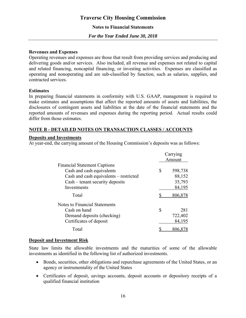### **Notes to Financial Statements**

### *For the Year Ended June 30, 2018*

#### **Revenues and Expenses**

Operating revenues and expenses are those that result from providing services and producing and delivering goods and/or services. Also included, all revenue and expenses not related to capital and related financing, noncapital financing, or investing activities. Expenses are classified as operating and nonoperating and are sub-classified by function, such as salaries, supplies, and contracted services.

#### **Estimates**

In preparing financial statements in conformity with U.S. GAAP, management is required to make estimates and assumptions that affect the reported amounts of assets and liabilities, the disclosures of contingent assets and liabilities at the date of the financial statements and the reported amounts of revenues and expenses during the reporting period. Actual results could differ from those estimates.

### **NOTE B - DETAILED NOTES ON TRANSACTION CLASSES / ACCOUNTS**

#### **Deposits and Investments**

At year-end, the carrying amount of the Housing Commission's deposits was as follows:

|                                                                                                                                                              | Carrying<br>Amount                          |
|--------------------------------------------------------------------------------------------------------------------------------------------------------------|---------------------------------------------|
| <b>Financial Statement Captions</b><br>Cash and cash equivalents<br>Cash and cash equivalents – restricted<br>Cash – tenant security deposits<br>Investments | \$<br>598,738<br>88,152<br>35,793<br>84,195 |
| Total                                                                                                                                                        | 806,878                                     |
| Notes to Financial Statements<br>Cash on hand<br>Demand deposits (checking)<br>Certificates of deposit                                                       | \$<br>281<br>722,402<br>84,195              |
| Total                                                                                                                                                        | 806,878                                     |

### **Deposit and Investment Risk**

State law limits the allowable investments and the maturities of some of the allowable investments as identified in the following list of authorized investments.

- Bonds, securities, other obligations and repurchase agreements of the United States, or an agency or instrumentality of the United States
- Certificates of deposit, savings accounts, deposit accounts or depository receipts of a qualified financial institution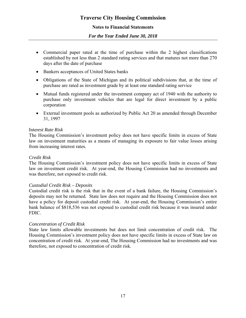### **Notes to Financial Statements**

### *For the Year Ended June 30, 2018*

- Commercial paper rated at the time of purchase within the 2 highest classifications established by not less than 2 standard rating services and that matures not more than 270 days after the date of purchase
- Bankers acceptances of United States banks
- Obligations of the State of Michigan and its political subdivisions that, at the time of purchase are rated as investment grade by at least one standard rating service
- Mutual funds registered under the investment company act of 1940 with the authority to purchase only investment vehicles that are legal for direct investment by a public corporation
- External investment pools as authorized by Public Act 20 as amended through December 31, 1997

### Inter*est Rate Risk*

The Housing Commission's investment policy does not have specific limits in excess of State law on investment maturities as a means of managing its exposure to fair value losses arising from increasing interest rates.

### *Credit Risk*

The Housing Commission's investment policy does not have specific limits in excess of State law on investment credit risk. At year-end, the Housing Commission had no investments and was therefore, not exposed to credit risk.

### *Custodial Credit Risk – Deposits*

Custodial credit risk is the risk that in the event of a bank failure, the Housing Commission's deposits may not be returned. State law does not require and the Housing Commission does not have a policy for deposit custodial credit risk. At year-end, the Housing Commission's entire bank balance of \$818,536 was not exposed to custodial credit risk because it was insured under FDIC.

### *Concentration of Credit Risk*

State law limits allowable investments but does not limit concentration of credit risk. The Housing Commission's investment policy does not have specific limits in excess of State law on concentration of credit risk. At year-end, The Housing Commission had no investments and was therefore, not exposed to concentration of credit risk.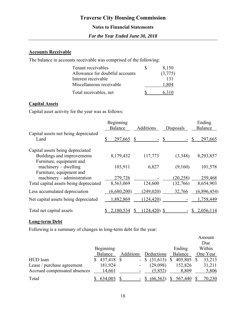### **Notes to Financial Statements**

*For the Year Ended June 30, 2018* 

### **Accounts Receivable**

The balance in accounts receivable was comprised of the following:

| Tenant receivables              | 8,150   |
|---------------------------------|---------|
| Allowance for doubtful accounts | (3,775) |
| Interest receivable             |         |
| Miscellaneous receivable        | 1.804   |
| Total receivables, net          |         |

### **Capital Assets**

Capital asset activity for the year was as follows:

|                                                                              | Beginning<br>Balance | Additions               | Disposals | Ending<br>Balance |
|------------------------------------------------------------------------------|----------------------|-------------------------|-----------|-------------------|
| Capital assets not being depreciated<br>Land                                 | \$<br>297,665        | $-$ \$<br><sup>\$</sup> |           | \$<br>297,665     |
| Capital assets being depreciated                                             |                      |                         |           |                   |
| Buildings and improvements                                                   | 8,179,432            | 117,773                 | (3,348)   | 8,293,857         |
| Furniture, equipment and<br>machinery – dwelling<br>Furniture, equipment and | 103,911              | 6,827                   | (9,160)   | 101,578           |
| $machinery - administration$                                                 | 279,726              |                         | (20, 258) | 259,468           |
| Total capital assets being depreciated                                       | 8,563,069            | 124,600                 | (32,766)  | 8,654,903         |
| Less accumulated depreciation                                                | (6,680,200)          | (249, 020)              | 32,766    | (6,896,454)       |
| Net capital assets being depreciated                                         | 1,882,869            | (124, 420)              |           | 1,758,449         |
| Total net capital assets                                                     | 2,180,534            | (124, 420)              |           | 2,056,114         |

### **Long-term Debt**

Following is a summary of changes in long-term debt for the year:

|                              |            |           |             |                  | Amount   |
|------------------------------|------------|-----------|-------------|------------------|----------|
|                              |            |           |             |                  | Due      |
|                              | Beginning  |           |             | Ending           | Within   |
|                              | Balance    | Additions | Deductions  | Balance          | One Year |
| HUD loan                     | 437,418 \$ |           | \$ (31,613) | \$<br>405,805 \$ | 33,213   |
| Lease / purchase agreement   | 181,924    |           | (29,098)    | 152,826          | 31,211   |
| Accrued compensated absences | 14,661     |           | (5,852)     | 8,809            | 5,806    |
| Total                        | 634,003    |           | (66, 563)   | 567,440          | 70,230   |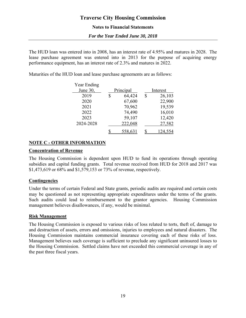**Notes to Financial Statements** 

*For the Year Ended June 30, 2018* 

The HUD loan was entered into in 2008, has an interest rate of 4.95% and matures in 2028. The lease purchase agreement was entered into in 2013 for the purpose of acquiring energy performance equipment, has an interest rate of 2.3% and matures in 2022.

Maturities of the HUD loan and lease purchase agreements are as follows:

| Year Ending |              |              |
|-------------|--------------|--------------|
| June 30,    | Principal    | Interest     |
| 2019        | \$<br>64,424 | \$<br>26,103 |
| 2020        | 67,600       | 22,900       |
| 2021        | 70,962       | 19,539       |
| 2022        | 74,490       | 16,010       |
| 2023        | 59,107       | 12,420       |
| 2024-2028   | 222,048      | 27,582       |
|             | 558,63       | 124.554      |

### **NOTE C - OTHER INFORMATION**

### **Concentration of Revenue**

The Housing Commission is dependent upon HUD to fund its operations through operating subsidies and capital funding grants. Total revenue received from HUD for 2018 and 2017 was \$1,473,619 or 68% and \$1,579,153 or 73% of revenue, respectively.

### **Contingencies**

Under the terms of certain Federal and State grants, periodic audits are required and certain costs may be questioned as not representing appropriate expenditures under the terms of the grants. Such audits could lead to reimbursement to the grantor agencies. Housing Commission management believes disallowances, if any, would be minimal.

### **Risk Management**

The Housing Commission is exposed to various risks of loss related to torts, theft of, damage to and destruction of assets, errors and omissions, injuries to employees and natural disasters. The Housing Commission maintains commercial insurance covering each of these risks of loss. Management believes such coverage is sufficient to preclude any significant uninsured losses to the Housing Commission. Settled claims have not exceeded this commercial coverage in any of the past three fiscal years.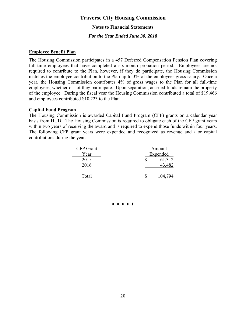### **Notes to Financial Statements**

*For the Year Ended June 30, 2018* 

#### **Employee Benefit Plan**

The Housing Commission participates in a 457 Deferred Compensation Pension Plan covering full-time employees that have completed a six-month probation period. Employees are not required to contribute to the Plan, however, if they do participate, the Housing Commission matches the employee contribution to the Plan up to 3% of the employees gross salary. Once a year, the Housing Commission contributes 4% of gross wages to the Plan for all full-time employees, whether or not they participate. Upon separation, accrued funds remain the property of the employee. During the fiscal year the Housing Commission contributed a total of \$19,466 and employees contributed \$10,223 to the Plan.

#### **Capital Fund Program**

The Housing Commission is awarded Capital Fund Program (CFP) grants on a calendar year basis from HUD. The Housing Commission is required to obligate each of the CFP grant years within two years of receiving the award and is required to expend those funds within four years. The following CFP grant years were expended and recognized as revenue and / or capital contributions during the year:

| CFP Grant | Amount       |  |
|-----------|--------------|--|
| Year      | Expended     |  |
| 2015      | \$<br>61,312 |  |
| 2016      | 43,482       |  |
| Total     | U4.          |  |

♦ ♦ ♦ ♦ ♦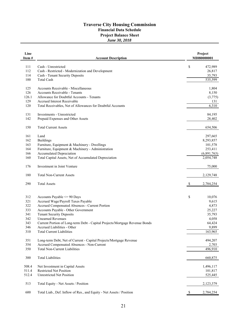#### **Traverse City Housing Commission Financial Data Schedule Project Balance Sheet** *June 30, 2018*

| Line<br>Item# | <b>Account Description</b>                                                  | Project<br>MI080000001 |
|---------------|-----------------------------------------------------------------------------|------------------------|
| 111           | Cash - Unrestricted                                                         | \$<br>472,989          |
| 112           | Cash - Restricted - Modernization and Development                           | 26,817                 |
| 114           | Cash - Tenant Security Deposits                                             | 35,793                 |
| 100           | <b>Total Cash</b>                                                           | 535,599                |
| 125           | Accounts Receivable - Miscellaneous                                         | 1,804                  |
| 126           | Accounts Receivable - Tenants                                               | 8,150                  |
| 126.1         | Allowance for Doubtful Accounts - Tenants                                   | (3,775)                |
| 129           | Accrued Interest Receivable                                                 | 131                    |
| 120           | Total Receivables, Net of Allowances for Doubtful Accounts                  | 6,310                  |
| 131           | Investments - Unrestricted                                                  | 84,195                 |
| 142           | Prepaid Expenses and Other Assets                                           | 28,402                 |
| 150           | <b>Total Current Assets</b>                                                 | 654,506                |
| 161           | Land                                                                        | 297,665                |
| 162           | <b>Buildings</b>                                                            | 8,293,857              |
| 163           | Furniture, Equipment & Machinery - Dwellings                                | 101,578                |
| 164           | Furniture, Equipment & Machinery - Administration                           | 253,411                |
| 166           | <b>Accumulated Depreciation</b>                                             | (6,891,763)            |
| 160           | Total Capital Assets, Net of Accumulated Depreciation                       | 2,054,748              |
| 176           | Investment in Joint Venture                                                 | 75,000                 |
| 180           | <b>Total Non-Current Assets</b>                                             | 2,129,748              |
| 290           | <b>Total Assets</b>                                                         | \$<br>2,784,254        |
|               |                                                                             |                        |
| 312           | Accounts Payable <= 90 Days                                                 | \$<br>10,076           |
| 321           | Accrued Wage/Payroll Taxes Payable                                          | 9,615                  |
| 322           | Accrued Compensated Absences - Current Portion                              | 4,873                  |
| 333           | Accounts Payable - Other Government                                         | 25,227                 |
| 341           | <b>Tenant Security Deposits</b>                                             | 35,793                 |
| 342           | <b>Unearned Revenues</b>                                                    | 4,058                  |
| 343           | Current Portion of Long-term Debt - Capital Projects/Mortgage Revenue Bonds | 64,424                 |
| 346           | Accrued Liabilities - Other                                                 | 9,899                  |
| 310           | <b>Total Current Liabilities</b>                                            | 163,965                |
| 351           | Long-term Debt, Net of Current - Capital Projects/Mortgage Revenue          | 494,207                |
| 354           | Accrued Compensated Absences - Non-Current                                  | 2,703                  |
| 350           | <b>Total Non-Current Liabilities</b>                                        | 496,910                |
| 300           | <b>Total Liabilities</b>                                                    | 660,875                |
| 508.4         | Net Investment in Capital Assets                                            | 1,496,117              |
| 511.4         | <b>Restricted Net Position</b>                                              | 101,817                |
| 512.4         | Unrestricted Net Position                                                   | 525,445                |
| 513           | Total Equity - Net Assets / Position                                        | 2,123,379              |
| 600           | Total Liab., Def. Inflow of Res., and Equity - Net Assets / Position        | \$<br>2,784,254        |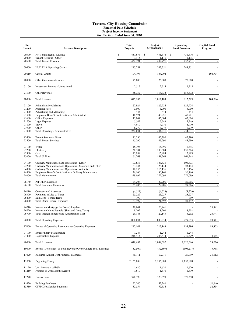#### **Traverse City Housing Commission Financial Data Schedule Project Income Statement** *For the Year Ended June 30, 2018*

| Line<br>Item#  | <b>Account Description</b>                                                                      | <b>Total</b><br>Projects | Project<br>MI080000001   | Operating<br><b>Fund Program</b> | <b>Capital Fund</b><br>Program |
|----------------|-------------------------------------------------------------------------------------------------|--------------------------|--------------------------|----------------------------------|--------------------------------|
| 70300          | Net Tenant Rental Revenue                                                                       | \$<br>431,676            | <sup>\$</sup><br>431,676 | $\mathsf{s}$<br>431,676          | s                              |
| 70400          | Tenant Revenue - Other                                                                          | 1,115                    | 1,115                    | 1,115                            |                                |
| 70500          | <b>Total Tenant Revenue</b>                                                                     | 432,791                  | 432,791                  | 432,791                          |                                |
| 70600          | HUD PHA Operating Grants                                                                        | 243,751                  | 243,751                  | 243,751                          |                                |
| 70610          | Capital Grants                                                                                  | 104,794                  | 104,794                  |                                  | 104,794                        |
| 70800          | Other Government Grants                                                                         | 75,000                   | 75,000                   | 75,000                           |                                |
| 71100          | Investment Income - Unrestricted                                                                | 2,515                    | 2,515                    | 2,515                            |                                |
| 71500          | Other Revenue                                                                                   | 158,332                  | 158,332                  | 158,332                          |                                |
| 70000          | <b>Total Revenue</b>                                                                            | 1,017,183                | 1,017,183                | 912,389                          | 104,794                        |
| 91100          | <b>Administrative Salaries</b>                                                                  | 127,924                  | 127,924                  | 127,924                          |                                |
| 91200          | <b>Auditing Fees</b>                                                                            | 3,000                    | 3,000                    | 3,000                            |                                |
| 91400          | Advertising and Marketing                                                                       | 444                      | 444                      | 444                              |                                |
| 91500<br>91600 | Employee Benefit Contributions - Administrative<br>Office Expenses                              | 40,921<br>45,004         | 40,921<br>45,004         | 40,921<br>45,004                 |                                |
| 91700          | Legal Expense                                                                                   | 5,549                    | 5,549                    | 5,549                            |                                |
| 91800          | Travel                                                                                          | 4,910                    | 4,910                    | 4,910                            |                                |
| 91900          | Other                                                                                           | 6,279                    | 6,279                    | 6,279                            |                                |
| 91000          | Total Operating - Administrative                                                                | 234,031                  | 234,031                  | 234,031                          | $\sim$                         |
| 92400          | Tenant Services - Other                                                                         | 45,290                   | 45,290                   | 45,290                           |                                |
| 92500          | <b>Total Tenant Services</b>                                                                    | 45,290                   | 45,290                   | 45,290                           |                                |
| 93100          | Water                                                                                           | 15,395                   | 15,395                   | 15,395                           |                                |
| 93200          | Electricity                                                                                     | 130,384                  | 130,384                  | 130,384                          |                                |
| 93300          | Gas                                                                                             | 15,989                   | 15,989                   | 15,989                           |                                |
| 93000          | <b>Total Utilities</b>                                                                          | 161,768                  | 161,768                  | 161,768                          | ä,                             |
| 94100          | Ordinary Maintenance and Operations - Labor                                                     | 103,633                  | 103,633                  | 103,633                          |                                |
| 94200          | Ordinary Maintenance and Operations - Materials and Other                                       | 23,144                   | 23,144                   | 23,144                           |                                |
| 94300          | Ordinary Maintenance and Operations Contracts                                                   | 116,156                  | 116,156                  | 116,156                          |                                |
| 94500          | Employee Benefit Contributions - Ordinary Maintenance                                           | 36,166                   | 36,166                   | 36,166                           |                                |
| 94000          | Total Maintenance                                                                               | 279,099                  | 279,099                  | 279,099                          | ÷.                             |
| 96140          | All Other Insurance                                                                             | 29,206                   | 29,206                   | 29,206                           |                                |
| 96100          | Total Insurance Premiums                                                                        | 29,206                   | 29,206                   | 29,206                           | ÷.                             |
|                |                                                                                                 |                          |                          |                                  |                                |
| 96210          | Compensated Absences                                                                            | (4,529)                  | (4,529)                  | (4, 529)                         |                                |
| 96300<br>96400 | Payments in Lieu of Taxes<br>Bad Debt - Tenant Rents                                            | 25,227<br>799            | 25,227<br>799            | 25,227<br>799                    |                                |
| 96000          | Total Other General Expenses                                                                    | 21,497                   | 21,497                   | 21,497                           | ÷.                             |
|                |                                                                                                 |                          |                          |                                  |                                |
| 96710<br>96720 | Interest on Mortgage (or Bonds) Payable                                                         | 20,941<br>8,202          | 20,941                   | 8,202                            | 20,941                         |
| 96700          | Interest on Notes Payable (Short and Long Term)<br>Total Interest Expense and Amortization Cost | 29,143                   | 8,202<br>29,143          | 8,202                            | 20,941                         |
|                |                                                                                                 |                          |                          |                                  |                                |
| 96900          | <b>Total Operating Expenses</b>                                                                 | 800,034                  | 800,034                  | 779,093                          | 20,941                         |
| 97000<br>97100 | Excess of Operating Revenue over Operating Expenses                                             | 217,149                  | 217,149                  | 133,296                          | 83,853                         |
| 97400          | Extraordinary Maintenance<br>Depreciation Expense                                               | 1,244<br>248,414         | 1,244<br>248,414         | 1,244<br>240,329                 | 8,085                          |
| 90000          | <b>Total Expenses</b>                                                                           | 1,049,692                | 1,049,692                | 1,020,666                        | 29,026                         |
| 10000          | Excess (Deficiency) of Total Revenue Over (Under) Total Expenses                                | (32,509)                 | (32, 509)                | (108, 277)                       | 75,768                         |
| 11020          | Required Annual Debt Principal Payments                                                         | 60,711                   | 60,711                   | 29,099                           | 31,612                         |
| 11030          | <b>Beginning Equity</b>                                                                         | 2,155,888                | 2,155,888                | 2,155,888                        |                                |
| 11190<br>11210 | Unit Months Available<br>Number of Unit Months Leased                                           | 1,620<br>1,610           | 1,620<br>1,610           | 1,620<br>1,610                   |                                |
| 11270          | Excess Cash                                                                                     | 370,398                  | 370,398                  | 370,398                          |                                |
| 11620          | <b>Building Purchases</b>                                                                       | 52,240                   | 52,240                   |                                  | 52,240                         |
| 13510          | CFFP Debt Service Payments                                                                      | 52,554                   | 52,554                   |                                  | 52,554                         |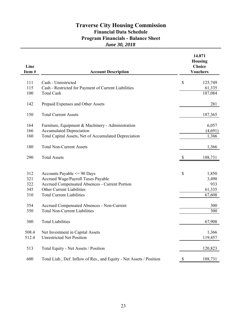### **Traverse City Housing Commission Financial Data Schedule**

### **Program Financials - Balance Sheet**

### *June 30, 2018*

| Line<br>Item# | <b>Account Description</b>                                           |               | 14.871<br><b>Housing</b><br><b>Choice</b><br><b>Vouchers</b> |
|---------------|----------------------------------------------------------------------|---------------|--------------------------------------------------------------|
| 111           | Cash - Unrestricted                                                  | \$            | 125,749                                                      |
| 115           | Cash - Restricted for Payment of Current Liabilities                 |               | 61,335                                                       |
| 100           | Total Cash                                                           |               | 187,084                                                      |
| 142           | Prepaid Expenses and Other Assets                                    |               | 281                                                          |
| 150           | <b>Total Current Assets</b>                                          |               | 187,365                                                      |
| 164           | Furniture, Equipment & Machinery - Administration                    |               | 6,057                                                        |
| 166           | <b>Accumulated Depreciation</b>                                      |               | (4,691)                                                      |
| 160           | Total Capital Assets, Net of Accumulated Depreciation                |               | 1,366                                                        |
| 180           | <b>Total Non-Current Assets</b>                                      |               | 1,366                                                        |
| 290           | <b>Total Assets</b>                                                  | $\mathcal{S}$ | 188,731                                                      |
| 312           | Accounts Payable $\leq$ 90 Days                                      | \$            | 1,850                                                        |
| 321           | Accrued Wage/Payroll Taxes Payable                                   |               | 3,490                                                        |
| 322           | Accrued Compensated Absences - Current Portion                       |               | 933                                                          |
| 345           | Other Current Liabilities                                            |               | 61,335                                                       |
| 310           | <b>Total Current Liabilities</b>                                     |               | 67,608                                                       |
| 354           | Accrued Compensated Absences - Non-Current                           |               | 300                                                          |
| 350           | <b>Total Non-Current Liabilities</b>                                 |               | 300                                                          |
| 300           | <b>Total Liabilities</b>                                             |               | 67,908                                                       |
| 508.4         | Net Investment in Capital Assets                                     |               | 1,366                                                        |
| 512.4         | <b>Unrestricted Net Position</b>                                     |               | 119,457                                                      |
| 513           | Total Equity - Net Assets / Position                                 |               | 120,823                                                      |
| 600           | Total Liab., Def. Inflow of Res., and Equity - Net Assets / Position | \$            | 188,731                                                      |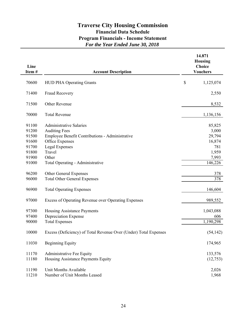### **Traverse City Housing Commission Financial Data Schedule Program Financials - Income Statement** *For the Year Ended June 30, 2018*

| Line<br>Item#  | <b>Account Description</b>                                       | 14.871<br><b>Housing</b><br><b>Choice</b><br><b>Vouchers</b> |
|----------------|------------------------------------------------------------------|--------------------------------------------------------------|
| 70600          | <b>HUD PHA Operating Grants</b>                                  | \$<br>1,125,074                                              |
| 71400          | Fraud Recovery                                                   | 2,550                                                        |
| 71500          | Other Revenue                                                    | 8,532                                                        |
| 70000          | <b>Total Revenue</b>                                             | 1,136,156                                                    |
| 91100          | <b>Administrative Salaries</b>                                   | 85,825                                                       |
| 91200          | <b>Auditing Fees</b>                                             | 3,000                                                        |
| 91500          | Employee Benefit Contributions - Administrative                  | 29,794                                                       |
| 91600          | Office Expenses                                                  | 16,874                                                       |
| 91700          | Legal Expenses                                                   | 781                                                          |
| 91800          | Travel                                                           | 1,959                                                        |
| 91900<br>91000 | Other<br>Total Operating - Administrative                        | 7,993<br>146,226                                             |
| 96200          | Other General Expenses                                           | 378                                                          |
| 96000          | <b>Total Other General Expenses</b>                              | 378                                                          |
| 96900          | <b>Total Operating Expenses</b>                                  | 146,604                                                      |
| 97000          | Excess of Operating Revenue over Operating Expenses              | 989,552                                                      |
| 97300          | Housing Assistance Payments                                      | 1,043,088                                                    |
| 97400          | Depreciation Expense                                             | 606                                                          |
| 90000          | <b>Total Expenses</b>                                            | $\overline{1,}190,298$                                       |
| 10000          | Excess (Deficiency) of Total Revenue Over (Under) Total Expenses | (54, 142)                                                    |
| 11030          | <b>Beginning Equity</b>                                          | 174,965                                                      |
| 11170          | <b>Administrative Fee Equity</b>                                 | 133,576                                                      |
| 11180          | Housing Assistance Payments Equity                               | (12,753)                                                     |
| 11190          | Unit Months Available                                            | 2,026                                                        |
| 11210          | Number of Unit Months Leased                                     | 1,968                                                        |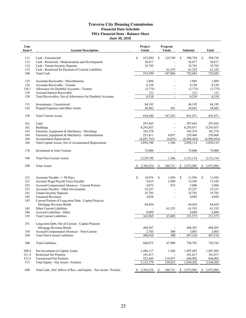### **Financial Data Schedule**

**PHA Financial Data - Balance Sheet**

#### *June 30, 2018*

| Line<br>Item# | <b>Account Description</b>                                           | Project<br><b>Totals</b> |    | Program<br><b>Totals</b> |    | Subtotal    | Total         |
|---------------|----------------------------------------------------------------------|--------------------------|----|--------------------------|----|-------------|---------------|
| 111           | Cash - Unrestricted                                                  | \$<br>472,989            | \$ | 125,749                  | \$ | 598,738     | \$<br>598,738 |
| 112           | Cash - Restricted - Modernization and Development                    | 26,817                   |    |                          |    | 26,817      | 26,817        |
| 114           | Cash - Tenant Security Deposits                                      | 35,793                   |    |                          |    | 35,793      | 35,793        |
| 115           | Cash - Restricted for Payment of Current Liabilities                 |                          |    | 61,335                   |    | 61,335      | 61,335        |
| 100           | <b>Total Cash</b>                                                    | 535,599                  |    | 187,084                  |    | 722,683     | 722,683       |
|               |                                                                      |                          |    |                          |    |             |               |
| 125           | Accounts Receivable - Miscellaneous                                  | 1,804                    |    |                          |    | 1,804       | 1,804         |
| 126           | <b>Accounts Receivable - Tenants</b>                                 | 8,150                    |    |                          |    | 8,150       | 8,150         |
| 126.1         | Allowance for Doubtful Accounts - Tenants                            | (3,775)                  |    |                          |    | (3,775)     | (3,775)       |
| 129           | <b>Accrued Interest Receivable</b>                                   | 131                      |    | $\blacksquare$           |    | 131         | 131           |
| 120           | Total Receivables, Net of Allowances for Doubtful Accounts           | 6,310                    |    | $\blacksquare$           |    | 6,310       | 6,310         |
| 131           | Investments - Unrestricted                                           | 84,195                   |    |                          |    | 84,195      | 84,195        |
| 142           | Prepaid Expenses and Other Assets                                    | 28,402                   |    | 281                      |    | 28,683      | 28,683        |
|               |                                                                      |                          |    |                          |    |             |               |
| 150           | <b>Total Current Assets</b>                                          | 654,506                  |    | 187,365                  |    | 841,871     | 841,871       |
| 161           | Land                                                                 | 297,665                  |    |                          |    | 297,665     | 297,665       |
| 162           | <b>Buildings</b>                                                     | 8,293,857                |    |                          |    | 8,293,857   | 8,293,857     |
| 163           | Furniture, Equipment & Machinery - Dwellings                         | 101,578                  |    | ÷,                       |    | 101,578     | 101,578       |
| 164           | Furniture, Equipment & Machinery - Administration                    | 253,411                  |    | 6,057                    |    | 259,468     | 259,468       |
| 166           | <b>Accumulated Depreciation</b>                                      | (6,891,763)              |    | (4,691)                  |    | (6,896,454) | (6,896,454)   |
| 160           | Total Capital Assets, Net of Accumulated Depreciation                | 2,054,748                |    | 1,366                    |    | 2,056,114   | 2,056,114     |
| 176           | Investment in Joint Venture                                          | 75,000                   |    |                          |    | 75,000      | 75,000        |
| 180           | <b>Total Non-Current Assets</b>                                      | 2,129,748                |    | 1,366                    |    | 2,131,114   | 2,131,114     |
| 290           | <b>Total Assets</b>                                                  | 2,784,254                | S  | 188,731                  | S  | 2,972,985   | 2,972,985     |
|               |                                                                      |                          |    |                          |    |             |               |
| 312           | Accounts Payable $\leq$ 90 Days                                      | \$<br>10,076             | \$ | 1,850                    | \$ | 11,926      | \$<br>11,926  |
| 321           | Accrued Wage/Payroll Taxes Payable                                   | 9,615                    |    | 3,490                    |    | 13,105      | 13,105        |
| 322           | Accrued Compensated Absences - Current Portion                       | 4,873                    |    | 933                      |    | 5,806       | 5,806         |
| 333           | Accounts Payable - Other Government                                  | 25,227                   |    | L,                       |    | 25,227      | 25,227        |
| 341           | <b>Tenant Security Deposits</b>                                      | 35,793                   |    |                          |    | 35,793      | 35,793        |
| 342           | <b>Unearned Revenues</b>                                             | 4,058                    |    | L,                       |    | 4,058       | 4,058         |
| 343           | Current Portion of Long-term Debt - Capital Projects/                |                          |    |                          |    |             |               |
|               | Mortgage Revenue Bonds                                               | 64,424                   |    |                          |    | 64,424      | 64,424        |
| 345           | Other Current Liabilities                                            |                          |    | 61,335                   |    | 61,335      | 61,335        |
| 346           | Accrued Liabilities - Other                                          | 9,899                    |    |                          |    | 9,899       | 9,899         |
| 310           | <b>Total Current Liabilities</b>                                     | 163,965                  |    | 67,608                   |    | 231,573     | 231,573       |
| 351           | Long-term Debt, Net of Current - Capital Projects/                   |                          |    |                          |    |             |               |
|               | Mortgage Revenue Bonds                                               | 494,207                  |    | $\blacksquare$           |    | 494,207     | 494,207       |
| 354           | Accrued Compensated Absences - Non-Current                           | 2,703                    |    | 300                      |    | 3,003       | 3,003         |
| 350           | <b>Total Non-Current Liabilities</b>                                 | 496,910                  |    | 300                      |    | 497,210     | 497,210       |
| 300           | <b>Total Liabilities</b>                                             | 660,875                  |    | 67,908                   |    | 728,783     | 728,783       |
| 508.4         | Net Investment in Capital Assets                                     | 1,496,117                |    | 1,366                    |    | 1,497,483   | 1,497,483     |
| 511.4         | <b>Restricted Net Position</b>                                       | 101,817                  |    |                          |    | 101,817     | 101,817       |
| 512.4         | <b>Unrestricted Net Position</b>                                     | 525,445                  |    | 119,457                  |    | 644,902     | 644,902       |
| 513           | Total Equity - Net Assets / Position                                 | 2,123,379                |    | 120,823                  |    | 2,244,202   | 2,244,202     |
| 600           | Total Liab., Def. Inflow of Res., and Equity - Net Assets / Position | \$<br>2,784,254          | \$ | 188,731                  | \$ | 2,972,985   | \$2,972,985   |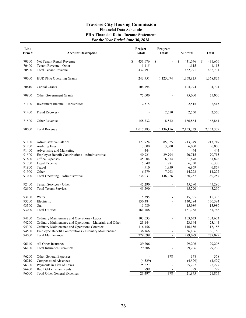#### **Traverse City Housing Commission Financial Data Schedule PHA Financial Data - Income Statement** *For the Year Ended June 30, 2018*

| Line<br>Item# | <b>Account Description</b>                                | Project<br><b>Totals</b> | Program<br><b>Totals</b> | Subtotal                 | <b>Total</b>  |
|---------------|-----------------------------------------------------------|--------------------------|--------------------------|--------------------------|---------------|
| 70300         | Net Tenant Rental Revenue                                 | \$<br>431,676            | S                        | <sup>\$</sup><br>431,676 | \$<br>431,676 |
| 70400         | Tenant Revenue - Other                                    | 1,115                    |                          | 1,115                    | 1,115         |
| 70500         | <b>Total Tenant Revenue</b>                               | 432,791                  |                          | 432,791                  | 432,791       |
|               |                                                           |                          |                          |                          |               |
| 70600         | HUD PHA Operating Grants                                  | 243,751                  | 1,125,074                | 1,368,825                | 1,368,825     |
| 70610         | Capital Grants                                            | 104,794                  |                          | 104,794                  | 104,794       |
| 70800         | Other Government Grants                                   | 75,000                   |                          | 75,000                   | 75,000        |
| 71100         | Investment Income - Unrestricted                          | 2,515                    |                          | 2,515                    | 2,515         |
| 71400         | Fraud Recovery                                            |                          | 2,550                    | 2,550                    | 2,550         |
| 71500         | Other Revenue                                             | 158,332                  | 8,532                    | 166,864                  | 166,864       |
| 70000         | <b>Total Revenue</b>                                      | 1,017,183                | 1,136,156                | 2,153,339                | 2,153,339     |
|               |                                                           |                          |                          |                          |               |
| 91100         | <b>Administrative Salaries</b>                            | 127,924                  | 85,825                   | 213,749                  | 213,749       |
| 91200         | <b>Auditing Fees</b>                                      | 3,000                    | 3,000                    | 6,000                    | 6,000         |
| 91400         | Advertising and Marketing                                 | 444                      |                          | 444                      | 444           |
| 91500         | Employee Benefit Contributions - Administrative           | 40,921                   | 29,794                   | 70,715                   | 70,715        |
| 91600         | Office Expenses                                           | 45,004                   | 16,874                   | 61,878                   | 61,878        |
| 91700         | Legal Expense                                             | 5,549                    | 781                      | 6,330                    | 6,330         |
| 91800         | Travel                                                    | 4,910                    | 1,959                    | 6,869                    | 6,869         |
| 91900         | Other                                                     | 6,279                    | 7,993                    | 14,272                   | 14,272        |
| 91000         | Total Operating - Administrative                          | 234,031                  | 146,226                  | 380,257                  | 380,257       |
| 92400         | Tenant Services - Other                                   | 45,290                   |                          | 45,290                   | 45,290        |
| 92500         | <b>Total Tenant Services</b>                              | 45,290                   | $\overline{\phantom{a}}$ | 45,290                   | 45,290        |
|               |                                                           |                          |                          |                          |               |
| 93100         | Water                                                     | 15,395                   |                          | 15,395                   | 15,395        |
| 93200         | Electricity                                               | 130,384                  |                          | 130,384                  | 130,384       |
| 93300         | Gas                                                       | 15,989                   |                          | 15,989                   | 15,989        |
| 93000         | <b>Total Utilities</b>                                    | 161,768                  | $\overline{\phantom{a}}$ | 161,768                  | 161,768       |
| 94100         | Ordinary Maintenance and Operations - Labor               | 103,633                  |                          | 103,633                  | 103,633       |
| 94200         | Ordinary Maintenance and Operations - Materials and Other | 23,144                   |                          | 23,144                   | 23,144        |
| 94300         | Ordinary Maintenance and Operations Contracts             | 116,156                  | $\overline{a}$           | 116,156                  | 116,156       |
| 94500         | Employee Benefit Contributions - Ordinary Maintenance     | 36,166                   |                          | 36,166                   | 36,166        |
| 94000         | <b>Total Maintenance</b>                                  | 279,099                  | $\overline{\phantom{a}}$ | 279,099                  | 279,099       |
| 96140         | All Other Insurance                                       | 29,206                   |                          | 29,206                   | 29,206        |
| 96100         | <b>Total Insurance Premiums</b>                           | 29,206                   | $\blacksquare$           | 29,206                   | 29,206        |
| 96200         | Other General Expenses                                    |                          | 378                      | 378                      | 378           |
| 96210         | <b>Compensated Absences</b>                               | (4,529)                  |                          | (4,529)                  | (4,529)       |
| 96300         | Payments in Lieu of Taxes                                 | 25,227                   |                          | 25,227                   | 25,227        |
| 96400         | Bad Debt - Tenant Rents                                   | 799                      |                          | 799                      | 799           |
| 96000         | <b>Total Other General Expenses</b>                       | 21,497                   | 378                      | 21,875                   | 21,875        |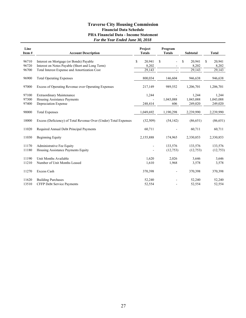#### **Traverse City Housing Commission Financial Data Schedule PHA Financial Data - Income Statement** *For the Year Ended June 30, 2018*

| Line<br>Item# | <b>Account Description</b>                                       | Project<br><b>Totals</b> | Program<br><b>Totals</b> | <b>Subtotal</b> | <b>Total</b> |
|---------------|------------------------------------------------------------------|--------------------------|--------------------------|-----------------|--------------|
| 96710         | Interest on Mortgage (or Bonds) Payable                          | \$<br>20,941             | \$                       | S<br>20,941     | S<br>20,941  |
| 96720         | Interest on Notes Payable (Short and Long Term)                  | 8,202                    |                          | 8,202           | 8,202        |
| 96700         | Total Interest Expense and Amortization Cost                     | 29,143                   | $\overline{\phantom{a}}$ | 29,143          | 29,143       |
| 96900         | <b>Total Operating Expenses</b>                                  | 800,034                  | 146,604                  | 946,638         | 946,638      |
| 97000         | Excess of Operating Revenue over Operating Expenses              | 217,149                  | 989,552                  | 1,206,701       | 1,206,701    |
| 97100         | <b>Extraordinary Maintenance</b>                                 | 1,244                    |                          | 1,244           | 1,244        |
| 97300         | Housing Assistance Payments                                      |                          | 1,043,088                | 1,043,088       | 1,043,088    |
| 97400         | Depreciation Expense                                             | 248,414                  | 606                      | 249,020         | 249,020      |
| 90000         | <b>Total Expenses</b>                                            | 1,049,692                | 1,190,298                | 2,239,990       | 2,239,990    |
| 10000         | Excess (Deficiency) of Total Revenue Over (Under) Total Expenses | (32,509)                 | (54, 142)                | (86,651)        | (86, 651)    |
| 11020         | Required Annual Debt Principal Payments                          | 60,711                   |                          | 60,711          | 60,711       |
| 11030         | <b>Beginning Equity</b>                                          | 2,155,888                | 174,965                  | 2,330,853       | 2,330,853    |
| 11170         | Administrative Fee Equity                                        | -                        | 133,576                  | 133,576         | 133,576      |
| 11180         | Housing Assistance Payments Equity                               |                          | (12,753)                 | (12,753)        | (12,753)     |
| 11190         | Unit Months Available                                            | 1,620                    | 2,026                    | 3,646           | 3,646        |
| 11210         | Number of Unit Months Leased                                     | 1,610                    | 1,968                    | 3,578           | 3,578        |
| 11270         | Excess Cash                                                      | 370,398                  |                          | 370,398         | 370,398      |
| 11620         | <b>Building Purchases</b>                                        | 52,240                   |                          | 52,240          | 52,240       |
| 13510         | <b>CFFP Debt Service Payments</b>                                | 52,554                   |                          | 52,554          | 52,554       |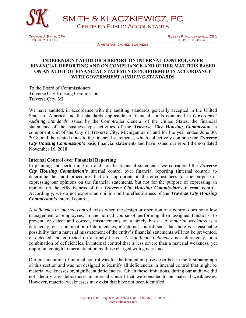

SMITH & KLACZKIEWICZ, PC Certified Public Accountants

Thomas J. Smith, CPA Robert R. Klaczkiewicz, CPA Robert R. Klaczkiewicz, CPA Robert R. Klaczkiewicz, CPA (989)<br>(989) 751-1167 (989) 751-3064 (989) 751-3064

A veteran owned business

### **INDEPENDENT AUDITOR'S REPORT ON INTERNAL CONTROL OVER FINANCIAL REPORTING AND ON COMPLIANCE AND OTHER MATTERS BASED ON AN AUDIT OF FINANCIAL STATEMENTS PERFORMED IN ACCORDANCE WITH** *GOVERNMENT AUDITING STANDARDS*

To the Board of Commissioners Traverse City Housing Commission Traverse City, MI

We have audited, in accordance with the auditing standards generally accepted in the United States of America and the standards applicable to financial audits contained in *Government Auditing Standards* issued by the Comptroller General of the United States, the financial statements of the business-type activities of the *Traverse City Housing Commission*, a component unit of the City of Traverse City, Michigan as of and for the year ended June 30, 2018, and the related notes to the financial statements, which collectively comprise the *Traverse City Housing Commission's* basic financial statements and have issued our report thereon dated November 16, 2018.

#### **Internal Control over Financial Reporting**

In planning and performing our audit of the financial statements, we considered the *Traverse City Housing Commission's* internal control over financial reporting (internal control) to determine the audit procedures that are appropriate in the circumstances for the purpose of expressing our opinions on the financial statements, but not for the purpose of expressing an opinion on the effectiveness of the *Traverse City Housing Commission's* internal control. Accordingly, we do not express an opinion on the effectiveness of the *Traverse City Housing Commission's* internal control.

A *deficiency in internal control* exists when the design or operation of a control does not allow management or employees, in the normal course of performing their assigned functions, to prevent, or detect and correct, misstatements on a timely basis. A *material weakness* is a deficiency, or a combination of deficiencies, in internal control, such that there is a reasonable possibility that a material misstatement of the entity's financial statements will not be prevented, or detected and corrected on a timely basis. A *significant deficiency* is a deficiency, or a combination of deficiencies, in internal control that is less severe than a material weakness, yet important enough to merit attention by those charged with governance.

Our consideration of internal control was for the limited purpose described in the first paragraph of this section and was not designed to identify all deficiencies in internal control that might be material weaknesses or, significant deficiencies. Given these limitations, during our audit we did not identify any deficiencies in internal control that we consider to be material weaknesses. However, material weaknesses may exist that have not been identified.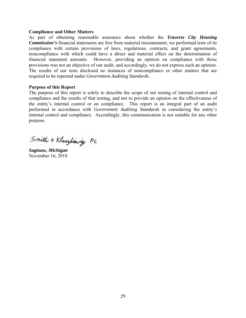#### **Compliance and Other Matters**

As part of obtaining reasonable assurance about whether the *Traverse City Housing Commission's* financial statements are free from material misstatement, we performed tests of its compliance with certain provisions of laws, regulations, contracts, and grant agreements, noncompliance with which could have a direct and material effect on the determination of financial statement amounts. However, providing an opinion on compliance with those provisions was not an objective of our audit, and accordingly, we do not express such an opinion. The results of our tests disclosed no instances of noncompliance or other matters that are required to be reported under *Government Auditing Standards*.

#### **Purpose of this Report**

The purpose of this report is solely to describe the scope of our testing of internal control and compliance and the results of that testing, and not to provide an opinion on the effectiveness of the entity's internal control or on compliance. This report is an integral part of an audit performed in accordance with *Government Auditing Standards* in considering the entity's internal control and compliance. Accordingly, this communication is not suitable for any other purpose.

Smith + Klacyhiavicy PC

*Saginaw, Michigan* November 16, 2018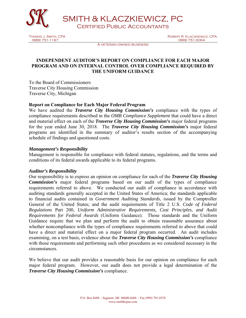

SMITH & KLACZKIEWICZ, PC Certified Public Accountants

Thomas J. Smith, CPA Robert R. Klaczkiewicz, CPA Robert R. Klaczkiewicz, CPA Robert R. Klaczkiewicz, CPA (989)<br>1989) 751-3064 (989) 751-3064 (989) 751-3064

A veteran owned business

### **INDEPENDENT AUDITOR'S REPORT ON COMPLIANCE FOR EACH MAJOR PROGRAM AND ON INTERNAL CONTROL OVER COMPLIANCE REQUIRED BY THE UNIFORM GUIDANCE**

To the Board of Commissioners Traverse City Housing Commission Traverse City, Michigan

### **Report on Compliance for Each Major Federal Program**

We have audited the *Traverse City Housing Commission's* compliance with the types of compliance requirements described in the *OMB Compliance Supplement* that could have a direct and material effect on each of the *Traverse City Housing Commission's* major federal programs for the year ended June 30, 2018. The *Traverse City Housing Commission's* major federal programs are identified in the summary of auditor's results section of the accompanying schedule of findings and questioned costs.

### *Management's Responsibility*

Management is responsible for compliance with federal statutes, regulations, and the terms and conditions of its federal awards applicable to its federal programs.

### *Auditor's Responsibility*

Our responsibility is to express an opinion on compliance for each of the *Traverse City Housing Commission's* major federal programs based on our audit of the types of compliance requirements referred to above. We conducted our audit of compliance in accordance with auditing standards generally accepted in the United States of America; the standards applicable to financial audits contained in *Government Auditing Standards*, issued by the Comptroller General of the United States; and the audit requirements of Title 2 U.S. *Code of Federal Regulations* Part 200, *Uniform Administrative Requirements, Cost Principles, and Audit Requirements for Federal Awards* (Uniform Guidance). Those standards and the Uniform Guidance require that we plan and perform the audit to obtain reasonable assurance about whether noncompliance with the types of compliance requirements referred to above that could have a direct and material effect on a major federal program occurred. An audit includes examining, on a test basis, evidence about the *Traverse City Housing Commission's* compliance with those requirements and performing such other procedures as we considered necessary in the circumstances.

We believe that our audit provides a reasonable basis for our opinion on compliance for each major federal program. However, our audit does not provide a legal determination of the *Traverse City Housing Commission's* compliance.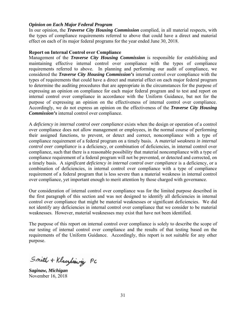#### *Opinion on Each Major Federal Program*

In our opinion, the *Traverse City Housing Commission* complied, in all material respects, with the types of compliance requirements referred to above that could have a direct and material effect on each of its major federal programs for the year ended June 30, 2018.

#### **Report on Internal Control over Compliance**

Management of the *Traverse City Housing Commission* is responsible for establishing and maintaining effective internal control over compliance with the types of compliance requirements referred to above. In planning and performing our audit of compliance, we considered the *Traverse City Housing Commission's* internal control over compliance with the types of requirements that could have a direct and material effect on each major federal program to determine the auditing procedures that are appropriate in the circumstances for the purpose of expressing an opinion on compliance for each major federal program and to test and report on internal control over compliance in accordance with the Uniform Guidance, but not for the purpose of expressing an opinion on the effectiveness of internal control over compliance. Accordingly, we do not express an opinion on the effectiveness of the *Traverse City Housing Commission's* internal control over compliance.

A *deficiency in internal control over compliance* exists when the design or operation of a control over compliance does not allow management or employees, in the normal course of performing their assigned functions, to prevent, or detect and correct, noncompliance with a type of compliance requirement of a federal program on a timely basis. A *material weakness in internal control over compliance* is a deficiency, or combination of deficiencies, in internal control over compliance, such that there is a reasonable possibility that material noncompliance with a type of compliance requirement of a federal program will not be prevented, or detected and corrected, on a timely basis. A *significant deficiency in internal control over compliance* is a deficiency, or a combination of deficiencies, in internal control over compliance with a type of compliance requirement of a federal program that is less severe than a material weakness in internal control over compliance, yet important enough to merit attention by those charged with governance.

Our consideration of internal control over compliance was for the limited purpose described in the first paragraph of this section and was not designed to identify all deficiencies in internal control over compliance that might be material weaknesses or significant deficiencies. We did not identify any deficiencies in internal control over compliance that we consider to be material weaknesses. However, material weaknesses may exist that have not been identified.

The purpose of this report on internal control over compliance is solely to describe the scope of our testing of internal control over compliance and the results of that testing based on the requirements of the Uniform Guidance. Accordingly, this report is not suitable for any other purpose.

Smith + Klacyhiavieg PC

*Saginaw, Michigan*  November 16, 2018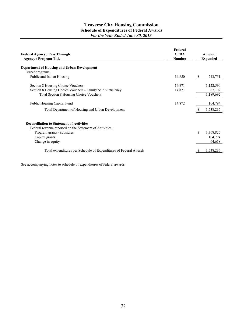#### **Traverse City Housing Commission Schedule of Expenditures of Federal Awards** *For the Year Ended June 30, 2018*

| <b>Federal Agency / Pass Through</b><br><b>Agency / Program Title</b> | Federal<br><b>CFDA</b><br><b>Number</b> |    | Amount<br><b>Expended</b> |  |  |
|-----------------------------------------------------------------------|-----------------------------------------|----|---------------------------|--|--|
| <b>Department of Housing and Urban Development</b>                    |                                         |    |                           |  |  |
| Direct programs:                                                      |                                         |    |                           |  |  |
| Public and Indian Housing                                             | 14.850                                  | -S | 243,751                   |  |  |
| Section 8 Housing Choice Vouchers                                     | 14.871                                  |    | 1,122,590                 |  |  |
| Section 8 Housing Choice Vouchers - Family Self Sufficiency           | 14.871                                  |    | 67,102                    |  |  |
| Total Section 8 Housing Choice Vouchers                               |                                         |    | 1,189,692                 |  |  |
| Public Housing Capital Fund                                           | 14.872                                  |    | 104,794                   |  |  |
| Total Department of Housing and Urban Development                     |                                         |    | 1,538,237                 |  |  |
| <b>Reconciliation to Statement of Activities</b>                      |                                         |    |                           |  |  |
| Federal revenue reported on the Statement of Activities:              |                                         |    |                           |  |  |
| Program grants - subsidies                                            |                                         | S  | 1,368,825                 |  |  |
| Capital grants                                                        |                                         |    | 104,794                   |  |  |
| Change in equity                                                      |                                         |    | 64,618                    |  |  |
| Total expenditures per Schedule of Expenditures of Federal Awards     |                                         |    | 1,538,237                 |  |  |
|                                                                       |                                         |    |                           |  |  |

See accompanying notes to schedule of expenditures of federal awards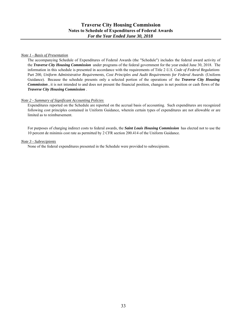#### *Note 1 - Basis of Presentation*

The accompanying Schedule of Expenditures of Federal Awards (the "Schedule") includes the federal award activity of the *Traverse City Housing Commission* under programs of the federal government for the year ended June 30, 2018. The information in this schedule is presented in accordance with the requirements of Title 2 *U.S. Code of Federal Regulations* Part 200, *Uniform Administrative Requirements, Cost Principles and Audit Requirements for Federal Awards* (Uniform Guidance). Because the schedule presents only a selected portion of the operations of the *Traverse City Housing Commission* , it is not intended to and does not present the financial position, changes in net position or cash flows of the *Traverse City Housing Commission* .

#### *Note 2 - Summary of Significant Accounting Policies*

Expenditures reported on the Schedule are reported on the accrual basis of accounting. Such expenditures are recognized following cost principles contained in Uniform Guidance, wherein certain types of expenditures are not allowable or are limited as to reimbursement.

For purposes of charging indirect costs to federal awards, the *Saint Louis Housing Commission* has elected not to use the 10 percent de minimis cost rate as permitted by 2 CFR section 200.414 of the Uniform Guidance.

#### *Note 3 - Subrecipients*

None of the federal expenditures presented in the Schedule were provided to subrecipients.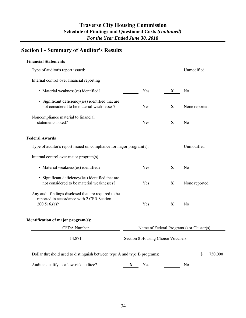### **Section I - Summary of Auditor's Results**

## **Financial Statements** Type of auditor's report issued: Unmodified Internal control over financial reporting • Material weakness(es) identified? Yes **X** No • Significant deficiency(ies) identified that are not considered to be material weaknesses? Yes X None reported Noncompliance material to financial statements noted? **Yes X** No **Federal Awards** Type of auditor's report issued on compliance for major program(s): Unmodified Internal control over major program(s) • Material weakness(es) identified? Yes **X** No • Significant deficiency(ies) identified that are not considered to be material weaknesses? Yes X None reported Any audit findings disclosed that are required to be reported in accordance with 2 CFR Section 200.516.(a)? Yes **X** No **Identification of major program(s):**

| CFDA Number                                                              | Name of Federal Program(s) or Cluster(s) |   |         |  |  |
|--------------------------------------------------------------------------|------------------------------------------|---|---------|--|--|
| 14.871                                                                   | Section 8 Housing Choice Vouchers        |   |         |  |  |
| Dollar threshold used to distinguish between type A and type B programs: |                                          | S | 750,000 |  |  |

Auditee qualify as a low-risk auditee? **X** Yes No